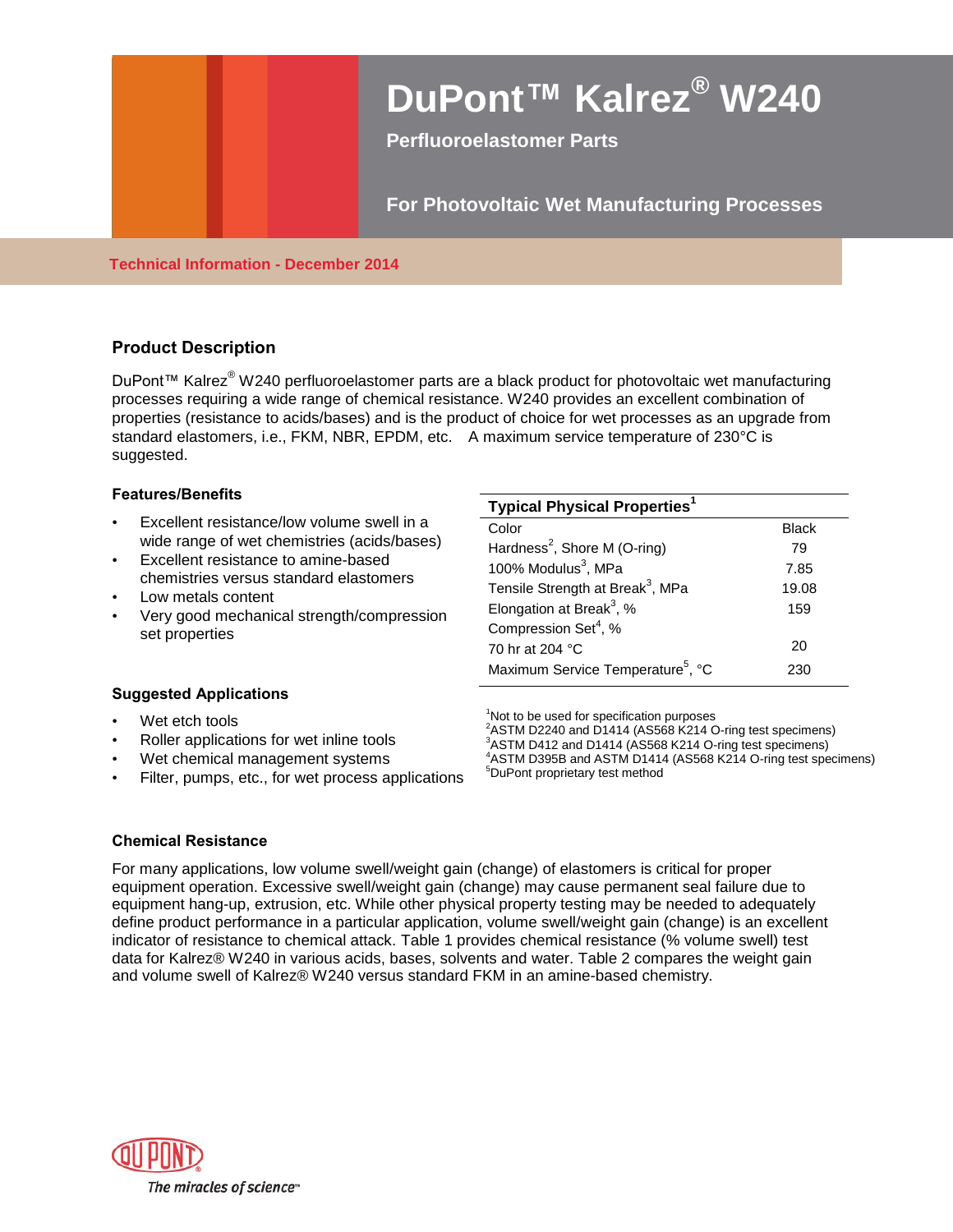# **DuPont™ Kalrez® W240**

**Perfluoroelastomer Parts**

# **For Photovoltaic Wet Manufacturing Processes**

### **Technical Information - December 2014**

# **Product Description**

DuPont™ Kalrez® W240 perfluoroelastomer parts are a black product for photovoltaic wet manufacturing processes requiring a wide range of chemical resistance. W240 provides an excellent combination of properties (resistance to acids/bases) and is the product of choice for wet processes as an upgrade from standard elastomers, i.e., FKM, NBR, EPDM, etc. A maximum service temperature of 230°C is suggested.

#### **Features/Benefits**

- Excellent resistance/low volume swell in a wide range of wet chemistries (acids/bases)
- Excellent resistance to amine-based chemistries versus standard elastomers
- Low metals content
- Very good mechanical strength/compression set properties

| <b>Typical Physical Properties<sup>1</sup></b> |              |
|------------------------------------------------|--------------|
| Color                                          | <b>Black</b> |
| Hardness <sup>2</sup> , Shore M (O-ring)       | 79           |
| 100% Modulus <sup>3</sup> , MPa                | 7.85         |
| Tensile Strength at Break <sup>3</sup> , MPa   | 19.08        |
| Elongation at Break <sup>3</sup> , %           | 159          |
| Compression Set <sup>4</sup> , %               |              |
| 70 hr at 204 °C                                | 20           |
| Maximum Service Temperature <sup>5</sup> , °C  | 230          |

#### **Suggested Applications**

- Wet etch tools
- Roller applications for wet inline tools
- Wet chemical management systems
- Filter, pumps, etc., for wet process applications

<sup>1</sup>Not to be used for specification purposes

<sup>2</sup>ASTM D2240 and D1414 (AS568 K214 O-ring test specimens) <sup>3</sup>ASTM D412 and D1414 (AS568 K214 O-ring test specimens) <sup>4</sup>ASTM D395B and ASTM D1414 (AS568 K214 O-ring test specimens) <sup>5</sup>DuPont proprietary test method

#### **Chemical Resistance**

For many applications, low volume swell/weight gain (change) of elastomers is critical for proper equipment operation. Excessive swell/weight gain (change) may cause permanent seal failure due to equipment hang-up, extrusion, etc. While other physical property testing may be needed to adequately define product performance in a particular application, volume swell/weight gain (change) is an excellent indicator of resistance to chemical attack. Table 1 provides chemical resistance (% volume swell) test data for Kalrez® W240 in various acids, bases, solvents and water. Table 2 compares the weight gain and volume swell of Kalrez® W240 versus standard FKM in an amine-based chemistry.